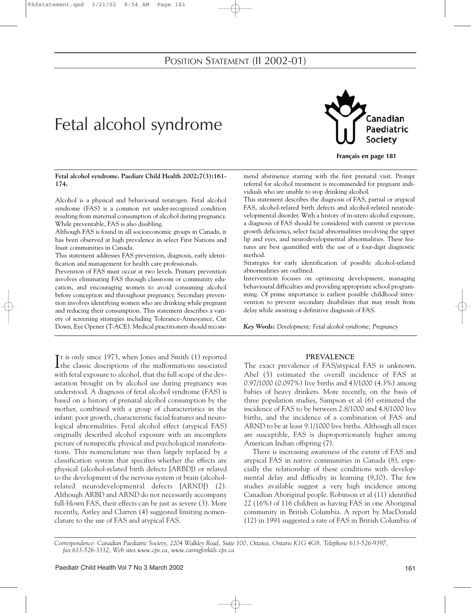# POSITION STATEMENT (II 2002-01)

# Fetal alcohol syndrome



**Français en page 181**

**Fetal alcohol syndrome. Paediatr Child Health 2002;7(3):161- 174.**

Alcohol is a physical and behavioural teratogen. Fetal alcohol syndrome (FAS) is a common yet under-recognized condition resulting from maternal consumption of alcohol during pregnancy. While preventable, FAS is also disabling.

Although FAS is found in all socioeconomic groups in Canada, it has been observed at high prevalence in select First Nations and Inuit communities in Canada.

This statement addresses FAS prevention, diagnosis, early identification and management for health care professionals.

Prevention of FAS must occur at two levels. Primary prevention involves eliminating FAS through classroom or community education, and encouraging women to avoid consuming alcohol before conception and throughout pregnancy. Secondary prevention involves identifying women who are drinking while pregnant and reducing their consumption. This statement describes a variety of screening strategies including Tolerance-Annoyance, Cut Down, Eye Opener (T-ACE). Medical practitioners should recom-

It is only since 1973, when Jones and Smith (1) reported<br>the classic descriptions of the malformations associated the classic descriptions of the malformations associated with fetal exposure to alcohol, that the full scope of the devastation brought on by alcohol use during pregnancy was understood. A diagnosis of fetal alcohol syndrome (FAS) is based on a history of prenatal alcohol consumption by the mother, combined with a group of characteristics in the infant: poor growth, characteristic facial features and neurological abnormalities. Fetal alcohol effect (atypical FAS) originally described alcohol exposure with an incomplete picture of nonspecific physical and psychological manifestations. This nomenclature was then largely replaced by a classification system that specifies whether the effects are physical (alcohol-related birth defects [ARBD]) or related to the development of the nervous system or brain (alcoholrelated neurodevelopmental defects [ARND]) (2). Although ARBD and ARND do not necessarily accompany full-blown FAS, their effects can be just as severe (3). More recently, Astley and Clarren (4) suggested limiting nomenclature to the use of FAS and atypical FAS.

mend abstinence starting with the first prenatal visit. Prompt referral for alcohol treatment is recommended for pregnant individuals who are unable to stop drinking alcohol.

This statement describes the diagnosis of FAS, partial or atypical FAS, alcohol-related birth defects and alcohol-related neurodevelopmental disorder. With a history of in-utero alcohol exposure, a diagnosis of FAS should be considered with current or previous growth deficiency, select facial abnormalities involving the upper lip and eyes, and neurodevelopmental abnormalities. These features are best quantified with the use of a four-digit diagnostic method.

Strategies for early identification of possible alcohol-related abnormalities are outlined.

Intervention focuses on optimizing development, managing behavioural difficulties and providing appropriate school programming. Of prime importance is earliest possible childhood intervention to prevent secondary disabilities that may result from delay while awaiting a definitive diagnosis of FAS.

*Key Words: Development; Fetal alcohol syndrome; Pregnancy*

# **PREVALENCE**

The exact prevalence of FAS/atypical FAS is unknown. Abel (5) estimated the overall incidence of FAS at 0.97/1000 (0.097%) live births and 43/1000 (4.3%) among babies of heavy drinkers. More recently, on the basis of three population studies, Sampson et al (6) estimated the incidence of FAS to be between 2.8/1000 and 4.8/1000 live births, and the incidence of a combination of FAS and ARND to be at least 9.1/1000 live births. Although all races are susceptible, FAS is disproportionately higher among American Indian offspring (7).

There is increasing awareness of the extent of FAS and atypical FAS in native communities in Canada (8), especially the relationship of these conditions with developmental delay and difficulty in learning (9,10). The few studies available suggest a very high incidence among Canadian Aboriginal people. Robinson et al (11) identified 22 (16%) of 116 children as having FAS in one Aboriginal community in British Columbia. A report by MacDonald (12) in 1991 suggested a rate of FAS in British Columbia of

*Correspondence: Canadian Paediatric Society, 2204 Walkley Road, Suite 100, Ottawa, Ontario K1G 4G8. Telephone 613-526-9397, fax 613-526-3332, Web sites www.cps.ca, www.caringforkids.cps.ca*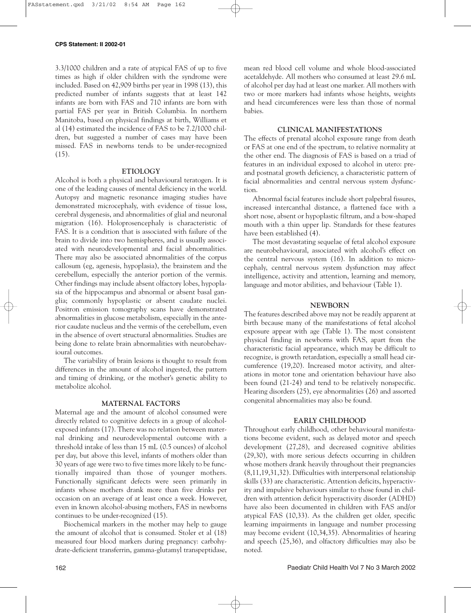3.3/1000 children and a rate of atypical FAS of up to five times as high if older children with the syndrome were included. Based on 42,909 births per year in 1998 (13), this predicted number of infants suggests that at least 142 infants are born with FAS and 710 infants are born with partial FAS per year in British Columbia. In northern Manitoba, based on physical findings at birth, Williams et al (14) estimated the incidence of FAS to be 7.2/1000 children, but suggested a number of cases may have been missed. FAS in newborns tends to be under-recognized  $(15).$ 

### **ETIOLOGY**

Alcohol is both a physical and behavioural teratogen. It is one of the leading causes of mental deficiency in the world. Autopsy and magnetic resonance imaging studies have demonstrated microcephaly, with evidence of tissue loss, cerebral dysgenesis, and abnormalities of glial and neuronal migration (16). Holoprosencephaly is characteristic of FAS. It is a condition that is associated with failure of the brain to divide into two hemispheres, and is usually associated with neurodevelopmental and facial abnormalities. There may also be associated abnormalities of the corpus callosum (eg, agenesis, hypoplasia), the brainstem and the cerebellum, especially the anterior portion of the vermis. Other findings may include absent olfactory lobes, hypoplasia of the hippocampus and abnormal or absent basal ganglia; commonly hypoplastic or absent caudate nuclei. Positron emission tomography scans have demonstrated abnormalities in glucose metabolism, especially in the anterior caudate nucleus and the vermis of the cerebellum, even in the absence of overt structural abnormalities. Studies are being done to relate brain abnormalities with neurobehavioural outcomes.

The variability of brain lesions is thought to result from differences in the amount of alcohol ingested, the pattern and timing of drinking, or the mother's genetic ability to metabolize alcohol.

### **MATERNAL FACTORS**

Maternal age and the amount of alcohol consumed were directly related to cognitive defects in a group of alcoholexposed infants (17). There was no relation between maternal drinking and neurodevelopmental outcome with a threshold intake of less than 15 mL (0.5 ounces) of alcohol per day, but above this level, infants of mothers older than 30 years of age were two to five times more likely to be functionally impaired than those of younger mothers. Functionally significant defects were seen primarily in infants whose mothers drank more than five drinks per occasion on an average of at least once a week. However, even in known alcohol-abusing mothers, FAS in newborns continues to be under-recognized (15).

Biochemical markers in the mother may help to gauge the amount of alcohol that is consumed. Stoler et al (18) measured four blood markers during pregnancy: carbohydrate-deficient transferrin, gamma-glutamyl transpeptidase, mean red blood cell volume and whole blood-associated acetaldehyde. All mothers who consumed at least 29.6 mL of alcohol per day had at least one marker. All mothers with two or more markers had infants whose heights, weights and head circumferences were less than those of normal babies.

# **CLINICAL MANIFESTATIONS**

The effects of prenatal alcohol exposure range from death or FAS at one end of the spectrum, to relative normality at the other end. The diagnosis of FAS is based on a triad of features in an individual exposed to alcohol in utero: preand postnatal growth deficiency, a characteristic pattern of facial abnormalities and central nervous system dysfunction.

Abnormal facial features include short palpebral fissures, increased intercanthal distance, a flattened face with a short nose, absent or hypoplastic filtrum, and a bow-shaped mouth with a thin upper lip. Standards for these features have been established (4).

The most devastating sequelae of fetal alcohol exposure are neurobehavioural, associated with alcohol's effect on the central nervous system (16). In addition to microcephaly, central nervous system dysfunction may affect intelligence, activity and attention, learning and memory, language and motor abilities, and behaviour (Table 1).

### **NEWBORN**

The features described above may not be readily apparent at birth because many of the manifestations of fetal alcohol exposure appear with age (Table 1). The most consistent physical finding in newborns with FAS, apart from the characteristic facial appearance, which may be difficult to recognize, is growth retardation, especially a small head circumference (19,20). Increased motor activity, and alterations in motor tone and orientation behaviour have also been found (21-24) and tend to be relatively nonspecific. Hearing disorders (25), eye abnormalities (26) and assorted congenital abnormalities may also be found.

# **EARLY CHILDHOOD**

Throughout early childhood, other behavioural manifestations become evident, such as delayed motor and speech development (27,28), and decreased cognitive abilities (29,30), with more serious defects occurring in children whose mothers drank heavily throughout their pregnancies (8,11,19,31,32). Difficulties with interpersonal relationship skills (33) are characteristic. Attention deficits, hyperactivity and impulsive behaviours similar to those found in children with attention deficit hyperactivity disorder (ADHD) have also been documented in children with FAS and/or atypical FAS (10,33). As the children get older, specific learning impairments in language and number processing may become evident (10,34,35). Abnormalities of hearing and speech (25,36), and olfactory difficulties may also be noted.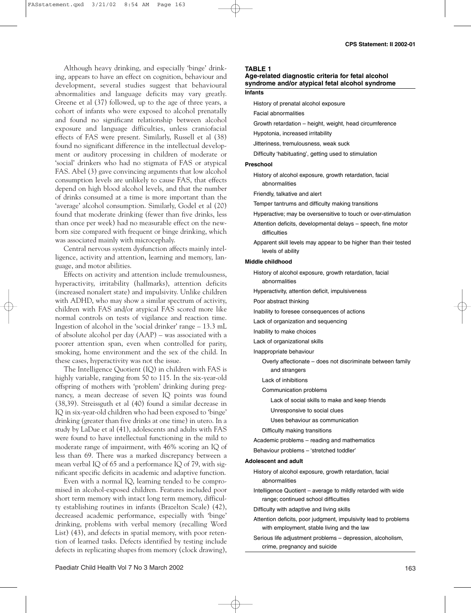Although heavy drinking, and especially 'binge' drinking, appears to have an effect on cognition, behaviour and development, several studies suggest that behavioural abnormalities and language deficits may vary greatly. Greene et al (37) followed, up to the age of three years, a cohort of infants who were exposed to alcohol prenatally and found no significant relationship between alcohol exposure and language difficulties, unless craniofacial effects of FAS were present. Similarly, Russell et al (38) found no significant difference in the intellectual development or auditory processing in children of moderate or 'social' drinkers who had no stigmata of FAS or atypical FAS. Abel (3) gave convincing arguments that low alcohol consumption levels are unlikely to cause FAS, that effects depend on high blood alcohol levels, and that the number of drinks consumed at a time is more important than the 'average' alcohol consumption. Similarly, Godel et al (20) found that moderate drinking (fewer than five drinks, less than once per week) had no measurable effect on the newborn size compared with frequent or binge drinking, which was associated mainly with microcephaly.

Central nervous system dysfunction affects mainly intelligence, activity and attention, learning and memory, language, and motor abilities.

Effects on activity and attention include tremulousness, hyperactivity, irritability (hallmarks), attention deficits (increased nonalert state) and impulsivity. Unlike children with ADHD, who may show a similar spectrum of activity, children with FAS and/or atypical FAS scored more like normal controls on tests of vigilance and reaction time. Ingestion of alcohol in the 'social drinker' range – 13.3 mL of absolute alcohol per day (AAP) – was associated with a poorer attention span, even when controlled for parity, smoking, home environment and the sex of the child. In these cases, hyperactivity was not the issue.

The Intelligence Quotient (IQ) in children with FAS is highly variable, ranging from 50 to 115. In the six-year-old offspring of mothers with 'problem' drinking during pregnancy, a mean decrease of seven IQ points was found (38,39). Streissguth et al (40) found a similar decrease in IQ in six-year-old children who had been exposed to 'binge' drinking (greater than five drinks at one time) in utero. In a study by LaDue et al (41), adolescents and adults with FAS were found to have intellectual functioning in the mild to moderate range of impairment, with 46% scoring an IQ of less than 69. There was a marked discrepancy between a mean verbal IQ of 65 and a performance IQ of 79, with significant specific deficits in academic and adaptive function.

Even with a normal IQ, learning tended to be compromised in alcohol-exposed children. Features included poor short term memory with intact long term memory, difficulty establishing routines in infants (Brazelton Scale) (42), decreased academic performance, especially with 'binge' drinking, problems with verbal memory (recalling Word List) (43), and defects in spatial memory, with poor retention of learned tasks. Defects identified by testing include defects in replicating shapes from memory (clock drawing),

# **TABLE 1**

# **Age-related diagnostic criteria for fetal alcohol syndrome and/or atypical fetal alcohol syndrome**

## **Infants**

History of prenatal alcohol exposure

Facial abnormalities

Growth retardation – height, weight, head circumference

Hypotonia, increased irritability

Jitteriness, tremulousness, weak suck

Difficulty 'habituating', getting used to stimulation

### **Preschool**

History of alcohol exposure, growth retardation, facial abnormalities

Friendly, talkative and alert

Temper tantrums and difficulty making transitions

- Hyperactive; may be oversensitive to touch or over-stimulation
- Attention deficits, developmental delays speech, fine motor difficulties
- Apparent skill levels may appear to be higher than their tested levels of ability

### **Middle childhood**

History of alcohol exposure, growth retardation, facial abnormalities

Hyperactivity, attention deficit, impulsiveness

Poor abstract thinking

- Inability to foresee consequences of actions
- Lack of organization and sequencing

Inability to make choices

Lack of organizational skills

Inappropriate behaviour

Overly affectionate – does not discriminate between family and strangers

- Lack of inhibitions
- Communication problems

Lack of social skills to make and keep friends

Unresponsive to social clues

Uses behaviour as communication

Difficulty making transitions

Academic problems – reading and mathematics

Behaviour problems – 'stretched toddler'

#### **Adolescent and adult**

- History of alcohol exposure, growth retardation, facial abnormalities
- Intelligence Quotient average to mildly retarded with wide range; continued school difficulties

Difficulty with adaptive and living skills

- Attention deficits, poor judgment, impulsivity lead to problems with employment, stable living and the law
- Serious life adjustment problems depression, alcoholism, crime, pregnancy and suicide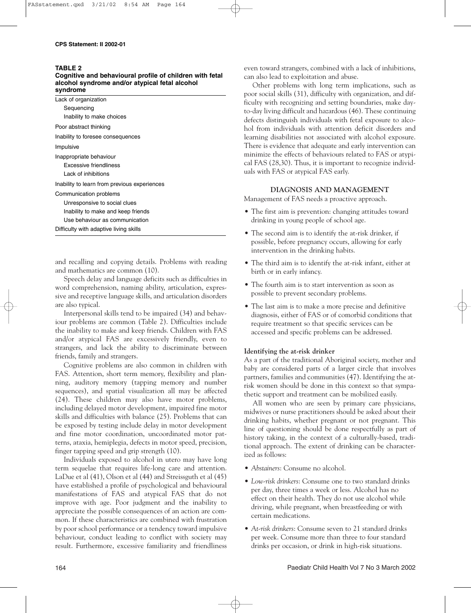### **TABLE 2**

### **Cognitive and behavioural profile of children with fetal alcohol syndrome and/or atypical fetal alcohol syndrome**

| svnurome                                     |
|----------------------------------------------|
| Lack of organization                         |
| Sequencing                                   |
| Inability to make choices                    |
| Poor abstract thinking                       |
| Inability to foresee consequences            |
| Impulsive                                    |
| Inappropriate behaviour                      |
| Excessive friendliness                       |
| Lack of inhibitions                          |
| Inability to learn from previous experiences |
| Communication problems                       |
| Unresponsive to social clues                 |
| Inability to make and keep friends           |
| Use behaviour as communication               |
| Difficulty with adaptive living skills       |
|                                              |

and recalling and copying details. Problems with reading and mathematics are common (10).

Speech delay and language deficits such as difficulties in word comprehension, naming ability, articulation, expressive and receptive language skills, and articulation disorders are also typical.

Interpersonal skills tend to be impaired (34) and behaviour problems are common (Table 2). Difficulties include the inability to make and keep friends. Children with FAS and/or atypical FAS are excessively friendly, even to strangers, and lack the ability to discriminate between friends, family and strangers.

Cognitive problems are also common in children with FAS. Attention, short term memory, flexibility and planning, auditory memory (tapping memory and number sequences), and spatial visualization all may be affected (24). These children may also have motor problems, including delayed motor development, impaired fine motor skills and difficulties with balance (25). Problems that can be exposed by testing include delay in motor development and fine motor coordination, uncoordinated motor patterns, ataxia, hemiplegia, defects in motor speed, precision, finger tapping speed and grip strength (10).

Individuals exposed to alcohol in utero may have long term sequelae that requires life-long care and attention. LaDue et al (41), Olson et al (44) and Streissguth et al (45) have established a profile of psychological and behavioural manifestations of FAS and atypical FAS that do not improve with age. Poor judgment and the inability to appreciate the possible consequences of an action are common. If these characteristics are combined with frustration by poor school performance or a tendency toward impulsive behaviour, conduct leading to conflict with society may result. Furthermore, excessive familiarity and friendliness even toward strangers, combined with a lack of inhibitions, can also lead to exploitation and abuse.

Other problems with long term implications, such as poor social skills (31), difficulty with organization, and difficulty with recognizing and setting boundaries, make dayto-day living difficult and hazardous (46). These continuing defects distinguish individuals with fetal exposure to alcohol from individuals with attention deficit disorders and learning disabilities not associated with alcohol exposure. There is evidence that adequate and early intervention can minimize the effects of behaviours related to FAS or atypical FAS (28,30). Thus, it is important to recognize individuals with FAS or atypical FAS early.

# **DIAGNOSIS AND MANAGEMENT**

Management of FAS needs a proactive approach.

- The first aim is prevention: changing attitudes toward drinking in young people of school age.
- The second aim is to identify the at-risk drinker, if possible, before pregnancy occurs, allowing for early intervention in the drinking habits.
- The third aim is to identify the at-risk infant, either at birth or in early infancy.
- The fourth aim is to start intervention as soon as possible to prevent secondary problems.
- The last aim is to make a more precise and definitive diagnosis, either of FAS or of comorbid conditions that require treatment so that specific services can be accessed and specific problems can be addressed.

# **Identifying the at-risk drinker**

As a part of the traditional Aboriginal society, mother and baby are considered parts of a larger circle that involves partners, families and communities (47). Identifying the atrisk women should be done in this context so that sympathetic support and treatment can be mobilized easily.

All women who are seen by primary care physicians, midwives or nurse practitioners should be asked about their drinking habits, whether pregnant or not pregnant. This line of questioning should be done respectfully as part of history taking, in the context of a culturally-based, traditional approach. The extent of drinking can be characterized as follows:

- *Abstainers*: Consume no alcohol.
- *Low-risk drinkers*: Consume one to two standard drinks per day, three times a week or less. Alcohol has no effect on their health. They do not use alcohol while driving, while pregnant, when breastfeeding or with certain medications.
- *At-risk drinkers*: Consume seven to 21 standard drinks per week. Consume more than three to four standard drinks per occasion, or drink in high-risk situations.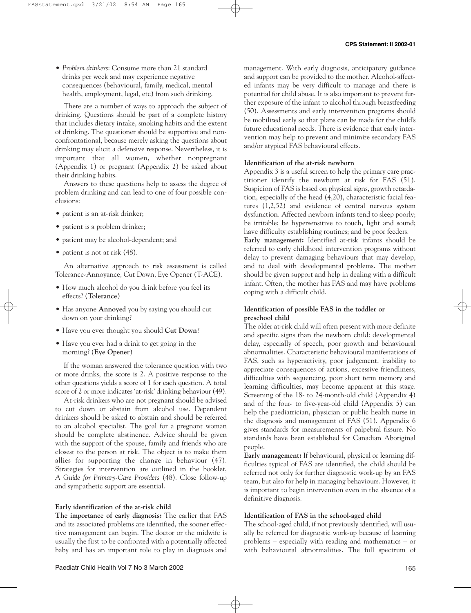• *Problem drinkers*: Consume more than 21 standard drinks per week and may experience negative consequences (behavioural, family, medical, mental health, employment, legal, etc) from such drinking.

There are a number of ways to approach the subject of drinking. Questions should be part of a complete history that includes dietary intake, smoking habits and the extent of drinking. The questioner should be supportive and nonconfrontational, because merely asking the questions about drinking may elicit a defensive response. Nevertheless, it is important that all women, whether nonpregnant (Appendix 1) or pregnant (Appendix 2) be asked about their drinking habits.

Answers to these questions help to assess the degree of problem drinking and can lead to one of four possible conclusions:

- patient is an at-risk drinker;
- patient is a problem drinker;
- patient may be alcohol-dependent; and
- patient is not at risk (48).

An alternative approach to risk assessment is called Tolerance-Annoyance, Cut Down, Eye Opener (T-ACE).

- How much alcohol do you drink before you feel its effects? (**Tolerance**)
- Has anyone **Annoyed** you by saying you should cut down on your drinking?
- Have you ever thought you should **Cut Down**?
- Have you ever had a drink to get going in the morning? (**Eye Opener**)

If the woman answered the tolerance question with two or more drinks, the score is 2. A positive response to the other questions yields a score of 1 for each question. A total score of 2 or more indicates 'at-risk' drinking behaviour (49).

At-risk drinkers who are not pregnant should be advised to cut down or abstain from alcohol use. Dependent drinkers should be asked to abstain and should be referred to an alcohol specialist. The goal for a pregnant woman should be complete abstinence. Advice should be given with the support of the spouse, family and friends who are closest to the person at risk. The object is to make them allies for supporting the change in behaviour (47). Strategies for intervention are outlined in the booklet, *A Guide for Primary-Care Providers* (48). Close follow-up and sympathetic support are essential.

# **Early identification of the at-risk child**

**The importance of early diagnosis:** The earlier that FAS and its associated problems are identified, the sooner effective management can begin. The doctor or the midwife is usually the first to be confronted with a potentially affected baby and has an important role to play in diagnosis and management. With early diagnosis, anticipatory guidance and support can be provided to the mother. Alcohol-affected infants may be very difficult to manage and there is potential for child abuse. It is also important to prevent further exposure of the infant to alcohol through breastfeeding (50). Assessments and early intervention programs should be mobilized early so that plans can be made for the child's future educational needs. There is evidence that early intervention may help to prevent and minimize secondary FAS and/or atypical FAS behavioural effects.

# **Identification of the at-risk newborn**

Appendix 3 is a useful screen to help the primary care practitioner identify the newborn at risk for FAS (51). Suspicion of FAS is based on physical signs, growth retardation, especially of the head (4,20), characteristic facial features (1,2,52) and evidence of central nervous system dysfunction. Affected newborn infants tend to sleep poorly; be irritable; be hypersensitive to touch, light and sound; have difficulty establishing routines; and be poor feeders.

**Early management:** Identified at-risk infants should be referred to early childhood intervention programs without delay to prevent damaging behaviours that may develop, and to deal with developmental problems. The mother should be given support and help in dealing with a difficult infant. Often, the mother has FAS and may have problems coping with a difficult child.

# **Identification of possible FAS in the toddler or preschool child**

The older at-risk child will often present with more definite and specific signs than the newborn child: developmental delay, especially of speech, poor growth and behavioural abnormalities. Characteristic behavioural manifestations of FAS, such as hyperactivity, poor judgement, inability to appreciate consequences of actions, excessive friendliness, difficulties with sequencing, poor short term memory and learning difficulties, may become apparent at this stage. Screening of the 18- to 24-month-old child (Appendix 4) and of the four- to five-year-old child (Appendix 5) can help the paediatrician, physician or public health nurse in the diagnosis and management of FAS (51). Appendix 6 gives standards for measurements of palpebral fissure. No standards have been established for Canadian Aboriginal people.

**Early management:** If behavioural, physical or learning difficulties typical of FAS are identified, the child should be referred not only for further diagnostic work-up by an FAS team, but also for help in managing behaviours. However, it is important to begin intervention even in the absence of a definitive diagnosis.

# **Identification of FAS in the school-aged child**

The school-aged child, if not previously identified, will usually be referred for diagnostic work-up because of learning problems – especially with reading and mathematics – or with behavioural abnormalities. The full spectrum of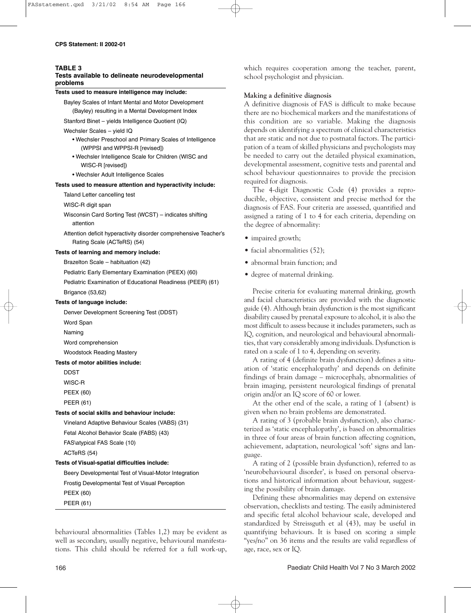### **TABLE 3**

# **Tests available to delineate neurodevelopmental problems**

# **Tests used to measure intelligence may include:**

Bayley Scales of Infant Mental and Motor Development (Bayley) resulting in a Mental Development Index

Stanford Binet – yields Intelligence Quotient (IQ)

### Wechsler Scales – yield IQ

- Wechsler Preschool and Primary Scales of Intelligence (WPPSI and WPPSI-R [revised])
- Wechsler Intelligence Scale for Children (WISC and WISC-R [revised])
- Wechsler Adult Intelligence Scales

## **Tests used to measure attention and hyperactivity include:**

Taland Letter cancelling test

WISC-R digit span

- Wisconsin Card Sorting Test (WCST) indicates shifting attention
- Attention deficit hyperactivity disorder comprehensive Teacher's Rating Scale (ACTeRS) (54)

## **Tests of learning and memory include:**

Brazelton Scale – habituation (42)

Pediatric Early Elementary Examination (PEEX) (60)

Pediatric Examination of Educational Readiness (PEER) (61) Brigance (53,62)

# **Tests of language include:**

Denver Development Screening Test (DDST)

Word Span

Naming

Word comprehension

Woodstock Reading Mastery

### **Tests of motor abilities include:**

DDST

WISC-R

PEEX (60)

PEER (61)

# **Tests of social skills and behaviour include:**

Vineland Adaptive Behaviour Scales (VABS) (31)

Fetal Alcohol Behavior Scale (FABS) (43)

FAS\atypical FAS Scale (10)

ACTeRS (54)

# **Tests of Visual-spatial difficulties include:**

Beery Developmental Test of Visual-Motor Integration Frostig Developmental Test of Visual Perception PEEX (60) PEER (61)

behavioural abnormalities (Tables 1,2) may be evident as well as secondary, usually negative, behavioural manifestations. This child should be referred for a full work-up, which requires cooperation among the teacher, parent, school psychologist and physician.

# **Making a definitive diagnosis**

A definitive diagnosis of FAS is difficult to make because there are no biochemical markers and the manifestations of this condition are so variable. Making the diagnosis depends on identifying a spectrum of clinical characteristics that are static and not due to postnatal factors. The participation of a team of skilled physicians and psychologists may be needed to carry out the detailed physical examination, developmental assessment, cognitive tests and parental and school behaviour questionnaires to provide the precision required for diagnosis.

The 4-digit Diagnostic Code (4) provides a reproducible, objective, consistent and precise method for the diagnosis of FAS. Four criteria are assessed, quantified and assigned a rating of 1 to 4 for each criteria, depending on the degree of abnormality:

- impaired growth;
- facial abnormalities (52);
- abnormal brain function; and
- degree of maternal drinking.

Precise criteria for evaluating maternal drinking, growth and facial characteristics are provided with the diagnostic guide (4). Although brain dysfunction is the most significant disability caused by prenatal exposure to alcohol, it is also the most difficult to assess because it includes parameters, such as IQ, cognition, and neurological and behavioural abnormalities, that vary considerably among individuals. Dysfunction is rated on a scale of 1 to 4, depending on severity.

A rating of 4 (definite brain dysfunction) defines a situation of 'static encephalopathy' and depends on definite findings of brain damage – microcephaly, abnormalities of brain imaging, persistent neurological findings of prenatal origin and/or an IQ score of 60 or lower.

At the other end of the scale, a rating of 1 (absent) is given when no brain problems are demonstrated.

A rating of 3 (probable brain dysfunction), also characterized as 'static encephalopathy', is based on abnormalities in three of four areas of brain function affecting cognition, achievement, adaptation, neurological 'soft' signs and language.

A rating of 2 (possible brain dysfunction), referred to as 'neurobehavioural disorder', is based on personal observations and historical information about behaviour, suggesting the possibility of brain damage.

Defining these abnormalities may depend on extensive observation, checklists and testing. The easily administered and specific fetal alcohol behaviour scale, developed and standardized by Streissguth et al (43), may be useful in quantifying behaviours. It is based on scoring a simple "yes/no" on 36 items and the results are valid regardless of age, race, sex or IQ.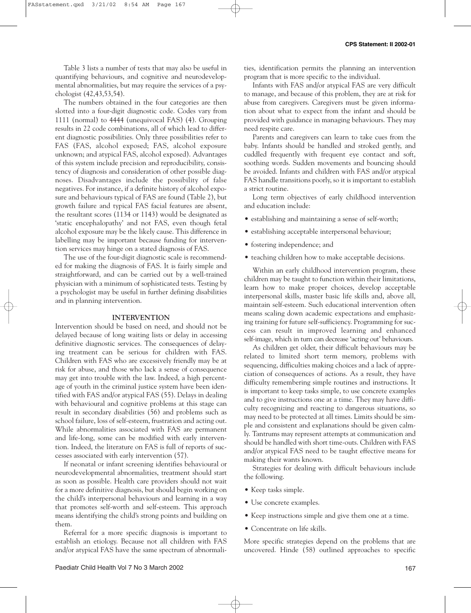Table 3 lists a number of tests that may also be useful in quantifying behaviours, and cognitive and neurodevelopmental abnormalities, but may require the services of a psychologist (42,43,53,54).

The numbers obtained in the four categories are then slotted into a four-digit diagnostic code. Codes vary from 1111 (normal) to 4444 (unequivocal FAS) (4). Grouping results in 22 code combinations, all of which lead to different diagnostic possibilities. Only three possibilities refer to FAS (FAS, alcohol exposed; FAS, alcohol exposure unknown; and atypical FAS, alcohol exposed). Advantages of this system include precision and reproducibility, consistency of diagnosis and consideration of other possible diagnoses. Disadvantages include the possibility of false negatives. For instance, if a definite history of alcohol exposure and behaviours typical of FAS are found (Table 2), but growth failure and typical FAS facial features are absent, the resultant scores (1134 or 1143) would be designated as 'static encephalopathy' and not FAS, even though fetal alcohol exposure may be the likely cause. This difference in labelling may be important because funding for intervention services may hinge on a stated diagnosis of FAS.

The use of the four-digit diagnostic scale is recommended for making the diagnosis of FAS. It is fairly simple and straightforward, and can be carried out by a well-trained physician with a minimum of sophisticated tests. Testing by a psychologist may be useful in further defining disabilities and in planning intervention.

### **INTERVENTION**

Intervention should be based on need, and should not be delayed because of long waiting lists or delay in accessing definitive diagnostic services. The consequences of delaying treatment can be serious for children with FAS. Children with FAS who are excessively friendly may be at risk for abuse, and those who lack a sense of consequence may get into trouble with the law. Indeed, a high percentage of youth in the criminal justice system have been identified with FAS and/or atypical FAS (55). Delays in dealing with behavioural and cognitive problems at this stage can result in secondary disabilities (56) and problems such as school failure, loss of self-esteem, frustration and acting out. While abnormalities associated with FAS are permanent and life-long, some can be modified with early intervention. Indeed, the literature on FAS is full of reports of successes associated with early intervention (57).

If neonatal or infant screening identifies behavioural or neurodevelopmental abnormalities, treatment should start as soon as possible. Health care providers should not wait for a more definitive diagnosis, but should begin working on the child's interpersonal behaviours and learning in a way that promotes self-worth and self-esteem. This approach means identifying the child's strong points and building on them.

Referral for a more specific diagnosis is important to establish an etiology. Because not all children with FAS and/or atypical FAS have the same spectrum of abnormalities, identification permits the planning an intervention program that is more specific to the individual.

Infants with FAS and/or atypical FAS are very difficult to manage, and because of this problem, they are at risk for abuse from caregivers. Caregivers must be given information about what to expect from the infant and should be provided with guidance in managing behaviours. They may need respite care.

Parents and caregivers can learn to take cues from the baby. Infants should be handled and stroked gently, and cuddled frequently with frequent eye contact and soft, soothing words. Sudden movements and bouncing should be avoided. Infants and children with FAS and/or atypical FAS handle transitions poorly, so it is important to establish a strict routine.

Long term objectives of early childhood intervention and education include:

- establishing and maintaining a sense of self-worth;
- establishing acceptable interpersonal behaviour;
- fostering independence; and
- teaching children how to make acceptable decisions.

Within an early childhood intervention program, these children may be taught to function within their limitations, learn how to make proper choices, develop acceptable interpersonal skills, master basic life skills and, above all, maintain self-esteem. Such educational intervention often means scaling down academic expectations and emphasizing training for future self-sufficiency. Programming for success can result in improved learning and enhanced self-image, which in turn can decrease 'acting out' behaviours.

As children get older, their difficult behaviours may be related to limited short term memory, problems with sequencing, difficulties making choices and a lack of appreciation of consequences of actions. As a result, they have difficulty remembering simple routines and instructions. It is important to keep tasks simple, to use concrete examples and to give instructions one at a time. They may have difficulty recognizing and reacting to dangerous situations, so may need to be protected at all times. Limits should be simple and consistent and explanations should be given calmly. Tantrums may represent attempts at communication and should be handled with short time-outs. Children with FAS and/or atypical FAS need to be taught effective means for making their wants known.

Strategies for dealing with difficult behaviours include the following.

- Keep tasks simple.
- Use concrete examples.
- Keep instructions simple and give them one at a time.
- Concentrate on life skills.

More specific strategies depend on the problems that are uncovered. Hinde (58) outlined approaches to specific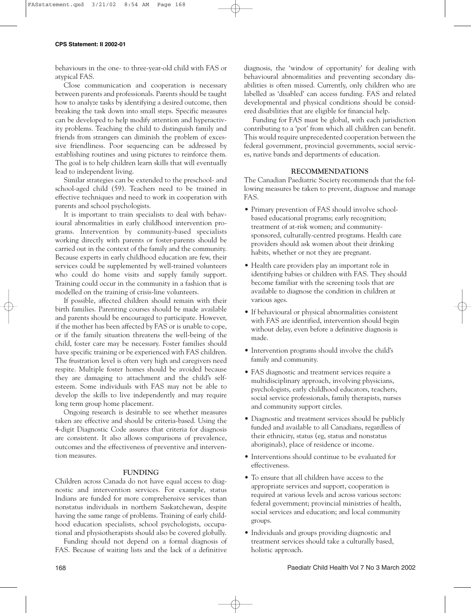behaviours in the one- to three-year-old child with FAS or atypical FAS.

Close communication and cooperation is necessary between parents and professionals. Parents should be taught how to analyze tasks by identifying a desired outcome, then breaking the task down into small steps. Specific measures can be developed to help modify attention and hyperactivity problems. Teaching the child to distinguish family and friends from strangers can diminish the problem of excessive friendliness. Poor sequencing can be addressed by establishing routines and using pictures to reinforce them. The goal is to help children learn skills that will eventually lead to independent living.

Similar strategies can be extended to the preschool- and school-aged child (59). Teachers need to be trained in effective techniques and need to work in cooperation with parents and school psychologists.

It is important to train specialists to deal with behavioural abnormalities in early childhood intervention programs. Intervention by community-based specialists working directly with parents or foster-parents should be carried out in the context of the family and the community. Because experts in early childhood education are few, their services could be supplemented by well-trained volunteers who could do home visits and supply family support. Training could occur in the community in a fashion that is modelled on the training of crisis-line volunteers.

If possible, affected children should remain with their birth families. Parenting courses should be made available and parents should be encouraged to participate. However, if the mother has been affected by FAS or is unable to cope, or if the family situation threatens the well-being of the child, foster care may be necessary. Foster families should have specific training or be experienced with FAS children. The frustration level is often very high and caregivers need respite. Multiple foster homes should be avoided because they are damaging to attachment and the child's selfesteem. Some individuals with FAS may not be able to develop the skills to live independently and may require long term group home placement.

Ongoing research is desirable to see whether measures taken are effective and should be criteria-based. Using the 4-digit Diagnostic Code assures that criteria for diagnosis are consistent. It also allows comparisons of prevalence, outcomes and the effectiveness of preventive and intervention measures.

### **FUNDING**

Children across Canada do not have equal access to diagnostic and intervention services. For example, status Indians are funded for more comprehensive services than nonstatus individuals in northern Saskatchewan, despite having the same range of problems. Training of early childhood education specialists, school psychologists, occupational and physiotherapists should also be covered globally.

Funding should not depend on a formal diagnosis of FAS. Because of waiting lists and the lack of a definitive diagnosis, the 'window of opportunity' for dealing with behavioural abnormalities and preventing secondary disabilities is often missed. Currently, only children who are labelled as 'disabled' can access funding. FAS and related developmental and physical conditions should be considered disabilities that are eligible for financial help.

Funding for FAS must be global, with each jurisdiction contributing to a 'pot' from which all children can benefit. This would require unprecedented cooperation between the federal government, provincial governments, social services, native bands and departments of education.

# **RECOMMENDATIONS**

The Canadian Paediatric Society recommends that the following measures be taken to prevent, diagnose and manage FAS.

- Primary prevention of FAS should involve schoolbased educational programs; early recognition; treatment of at-risk women; and communitysponsored, culturally-centred programs. Health care providers should ask women about their drinking habits, whether or not they are pregnant.
- Health care providers play an important role in identifying babies or children with FAS. They should become familiar with the screening tools that are available to diagnose the condition in children at various ages.
- If behavioural or physical abnormalities consistent with FAS are identified, intervention should begin without delay, even before a definitive diagnosis is made.
- Intervention programs should involve the child's family and community.
- FAS diagnostic and treatment services require a multidisciplinary approach, involving physicians, psychologists, early childhood educators, teachers, social service professionals, family therapists, nurses and community support circles.
- Diagnostic and treatment services should be publicly funded and available to all Canadians, regardless of their ethnicity, status (eg, status and nonstatus aboriginals), place of residence or income.
- Interventions should continue to be evaluated for effectiveness.
- To ensure that all children have access to the appropriate services and support, cooperation is required at various levels and across various sectors: federal government; provincial ministries of health, social services and education; and local community groups.
- Individuals and groups providing diagnostic and treatment services should take a culturally based, holistic approach.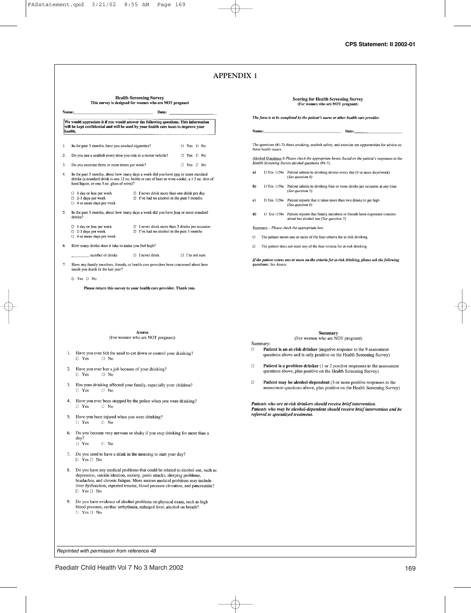|         | <b>Health Screening Survey</b><br>This survey is designed for women who are NOT pregnant                                                                                                                                          |       |                       | Scoring for Health Screening Surv<br>(For women who are NOT pregnant)                                                                                                                                                                                                  |
|---------|-----------------------------------------------------------------------------------------------------------------------------------------------------------------------------------------------------------------------------------|-------|-----------------------|------------------------------------------------------------------------------------------------------------------------------------------------------------------------------------------------------------------------------------------------------------------------|
| Name:   | Date:                                                                                                                                                                                                                             |       |                       | The form is to be completed by the patient's nurse or other health                                                                                                                                                                                                     |
|         | We would appreciate it if you would answer the following questions. This information<br>will be kept confidential and will be used by your health care team to improve your                                                       |       |                       |                                                                                                                                                                                                                                                                        |
| health. |                                                                                                                                                                                                                                   | Name: |                       | Date:                                                                                                                                                                                                                                                                  |
| 1.      | $\Box$ Yes $\Box$ No<br>In the past 3 months, have you smoked cigarettes?                                                                                                                                                         |       | these health issues.  | The questions (#1-3) about smoking, seatbelt safety, and exercise an                                                                                                                                                                                                   |
| 2.      | Do you use a seatbelt every time you ride in a motor vehicle?<br>D Yes <sub>U</sub> No                                                                                                                                            |       |                       | Alcohol Questions B Please check the appropriate boxes, based on a                                                                                                                                                                                                     |
| 3.      | Do you exercise three or more times per week?<br>$\Box$ Yes $\Box$ No                                                                                                                                                             |       |                       | Health Screening Survey alcohol questions (#4-7).                                                                                                                                                                                                                      |
| 4.      | In the past 3 months, about how many days a week did you have two or more standard<br>drinks (a standard drink is one 12 oz. bottle or can of beer or wine cooler, a 1.5 oz. shot of<br>hard liquor, or one 5 oz. glass of wine)? | a)    |                       | LI Yes LINo Patient admits to drinking almost every day (4<br>(See question 4)                                                                                                                                                                                         |
|         | $\Box$ 1 day or less per week<br>$\Box$ I never drink more than one drink per day                                                                                                                                                 | b)    |                       | Cl Yes [1No Patient admits to drinking four or more drinks<br>(See question 5)                                                                                                                                                                                         |
|         | $\Box$ I've had no alcohol in the past 3 months<br>$\Box$ 2-3 days per week<br>$\Box$ 4 or more days per week                                                                                                                     | c)    |                       | □ Yes □ No Patient reports that it takes more than two drin<br>(See question 6)                                                                                                                                                                                        |
| 5.      | In the past 3 months, about how many days a week did you have four or more standard<br>drinks?                                                                                                                                    | d)    |                       | □ Yes □ No Patient reports that family members or friends<br>about her alcohol use (See question 7)                                                                                                                                                                    |
|         | 1 day or less per week<br>$\Box$ I never drink more than 3 drinks per occasion<br>□ 2-3 days per week<br>$\Box$ I've had no alcohol in the past 3 months                                                                          |       |                       | Summary - Please check the appropriate box.                                                                                                                                                                                                                            |
|         | □ 4 or more days per week                                                                                                                                                                                                         | Π     |                       | The patient meets one or more of the four criteria for at-risk dr.                                                                                                                                                                                                     |
| 6.      | How many drinks does it take to make you feel high?                                                                                                                                                                               | α     |                       | The patient does not meet any of the four criteria for at-risk dri                                                                                                                                                                                                     |
|         | number of drinks<br>$\Box$ I never drink<br>$\Box$ I'm not sure                                                                                                                                                                   |       |                       | If the patient scores one or more on the criteria for at-risk drinkin,                                                                                                                                                                                                 |
| 7.      | Have any family members, friends, or health care providers been concerned about how<br>much you drank in the last year?                                                                                                           |       | questions: See Assess |                                                                                                                                                                                                                                                                        |
|         |                                                                                                                                                                                                                                   |       |                       |                                                                                                                                                                                                                                                                        |
|         | D Yes D No<br>Please return this survey to your health care provider. Thank you.                                                                                                                                                  |       |                       |                                                                                                                                                                                                                                                                        |
|         |                                                                                                                                                                                                                                   |       |                       |                                                                                                                                                                                                                                                                        |
|         | Assess<br>(For women who are NOT pregnant)                                                                                                                                                                                        |       |                       | Summary<br>(For women who are NOT pregnar                                                                                                                                                                                                                              |
|         | 1. Have you ever felt the need to cut down or control your drinking?<br>$\Box$ Yes<br>$\Box$ No                                                                                                                                   | D.    | Summary:              | <b>Patient is an at-risk drinker</b> (negative response to<br>questions above and is only positive on the Health S                                                                                                                                                     |
| 2.      | Have you ever lost a job because of your drinking?<br>$\Box$ Yes<br>$\Box$ No                                                                                                                                                     | O     |                       | <b>Patient is a problem drinker</b> (1 or 2 positive responent<br>questions above, plus positive on the Health Screeni                                                                                                                                                 |
| 3.      | Has your drinking affected your family, especially your children?<br>$\Box$ Yes<br>$[]$ No                                                                                                                                        | O     |                       |                                                                                                                                                                                                                                                                        |
|         | Have you ever been stopped by the police when you were drinking?<br>$\Box$ Yes<br>$\Box$ No                                                                                                                                       |       |                       |                                                                                                                                                                                                                                                                        |
| 5.      | Have you been injured when you were drinking?<br>Il Yes<br>El No                                                                                                                                                                  |       |                       | Patient may be alcohol-dependent (3 or more pos<br>assessment questions above, plus positive on the He<br>Patients who are at-risk drinkers should receive brief inte<br>Patients who may be alcohol-dependent should receive b.<br>referred to specialized treatment. |
| 6.      | Do you become very nervous or shaky if you stop drinking for more than a<br>day?                                                                                                                                                  |       |                       |                                                                                                                                                                                                                                                                        |
|         | $\Box$ Yes<br>[] No                                                                                                                                                                                                               |       |                       |                                                                                                                                                                                                                                                                        |
|         | 7. Do you need to have a drink in the morning to start your day?<br>$\Box$ Yes $\Box$ No                                                                                                                                          |       |                       |                                                                                                                                                                                                                                                                        |

vey Î.

care provider.

re opportunities for advice on

the patient's responses to the

- 4 or more days/week)
- s per occasion at any time
- nks to get high
- have expressed concern
- rinking
- inking

g, please ask the following

 $int)$ 

- the 9 assessment Screening Survey)
- onses to the assessment ing Survey)
- sitive responses to the<br>ealth Screening Survey)

ervention. ervention.<br>rief intervention and be

*Reprinted with permission from reference 48*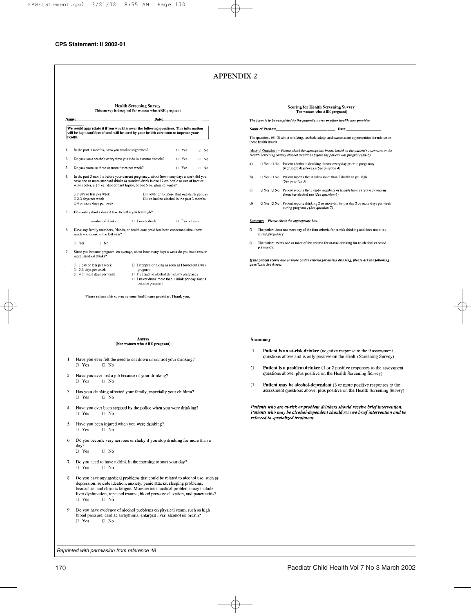**Health Screening Survey** This survey is designed for women who ARE pregnant Name: Date: We would appreciate it if you would answer the following questions. This information<br>will be kept confidential and will be used by your health care team to improve your health. 1. In the past 3 months, have you smoked cigarettes?  $\Box$  Yes  $\Box$  No Do you use a seatbelt every time you ride in a motor vehicle? **U** Yes  $\overline{2}$ .  $\Box$  No  $\overline{\mathbf{3}}$ Do you exercise three or more times per week?  $\Box$  Yes  $\Box$  No In the past 3 months before your current pregnancy, about how many days a week did you have one or more standard drinks (a standard drink is one 12 oz. bottle or can of beer or  $\overline{4}$ wine cooler, a 1.5 oz. shot of hard liquor, or one 5 oz. glass of wine)? [11 day or less per week [1] never drink more than one drink per day  $\Box$  I've had no alcohol in the past 3 months  $\Box$  2-3 days per week □ 4 or more days per week How many drinks does it take to make you feel high? number of drinks  $\Box$  I never drink  $\Box$  I'm not sure Have any family members, friends, or health care providers been concerned about how 6 much you drank in the last year? [] Yes  $\Box$  No Since you became pregnant, on average, about how many days a week do you have two or more standard drinks? 7.  $\Box$  I day or less per week  $\Box$  I stopped drinking as soon as I found out I was  $\Box$  2-3 days per week pregnant [1] I've had no alcohol during my pregnancy [1 4 or more days per week [1] I never drank more than 1 drink per day since 1  $\rm became\,pegan$ Please return this survey to your health care provider. Thank you.

#### **A** conce (For women who ARE pregnant)

- 1. Have you ever felt the need to cut down or control your drinking?  $\Box$  Yes  $\Box$  No
- Have you ever lost a job because of your drinking? 2.  $\Box$  Yes  $E^+$  No
- Has your drinking affected your family, especially your children?  $3.$  $\Box$  Yes Li No
- $\overline{4}$ . Have you ever been stopped by the police when you were drinking? [J Yes  $\Box$  No
- 5. Have you been injured when you were drinking? □ Yes  $\Box$  No
- Do you become very nervous or shaky if you stop drinking for more than a 6. day?  $\Box$  Yes L1 No
- $7.$ Do you need to have a drink in the morning to start your day?
- $\overline{a}$  Yes  $\Box$  No
- Do you have any medical problems that could be related to alcohol use, such as depression, suicide ideation, anxiety, panic attacks, sleeping problems, headaches, and chronic fatigue. More serious medical problems may include liver dysfunction, repeated trauma, blood pressure elevation, and pancreatitis? D Yes  $\Box$  No
- 9. Do you have evidence of alcohol problems on physical exam, such as high blood pressure, cardiac arrhythmia, enlarged liver, alcohol on breath? **U** Yes  $\Box$  No

#### **Scoring for Health Screening Survey** (For women who ARE pregnant)

The form is to be completed by the patient's nurse or other health care provider.

**Name of Patient:** Date:

The questions (#1-3) about smoking, seatbelt safety, and exercise are opportunities for advice on these health issues

Alcohol Questions - Please check the appropriate boxes, based on the patient's responses to the Health Screening Survey alcohol questions before the patient was pregnant (#4-6).

- $a)$ U Yes U No Patient admits to drinking almost every day prior to pregnancy (4 or more days/week) (See question 4)
- $\Box$  Yes  $\Box$  No Patient reports that it takes more than 2 drinks to get high  $b)$ (See question 5)
- $\Box$  Yes  $\Box$  No Patient reports that family members or friends have expressed concern  $c)$ about her alcohol use (See question 6)
- El Yes El No Patient reports drinking 2 or more drinks per day 2 or more days per week  $\bf d$ during pregnancy (See question 7)

Summary - Please check the appropriate box.

- The patient does not meet any of the four criteria for at-risk drinking and does not drink  $\Box$ during pregnancy.
- The patient meets one or more of the criteria for at-risk drinking for an alcohol exposed pregnancy.

If the patient scores one or more on the criteria for at-risk drinking, please ask the following questions: See Assess

#### Summary

- $\Box$ Patient is an at-risk drinker (negative response to the 9 assessment questions above and is only positive on the Health Screening Survey)
- Patient is a problem drinker (1 or 2 positive responses to the assessment  $\mathbf{f}$ questions above, plus positive on the Health Screening Survey)
- Patient may be alcohol-dependent (3 or more positive responses to the  $\Box$ assessment questions above, plus positive on the Health Screening Survey)

Patients who are at-risk or problem drinkers should receive brief intervention. Patients who may be alcohol-dependent should receive brief intervention and be referred to specialized treatment.

*Reprinted with permission from reference 48*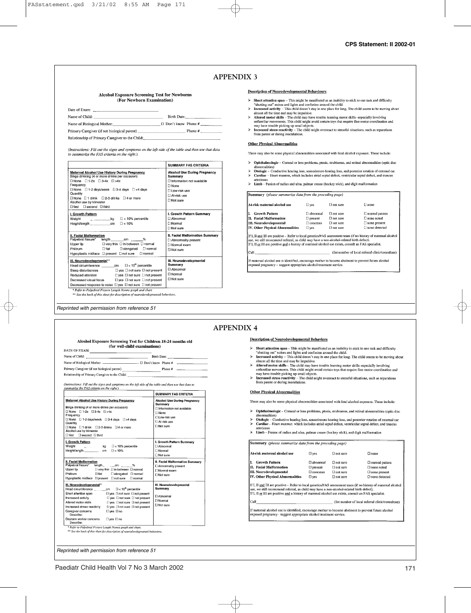#### **Alcohol Exposure Screening Test for Newborns** (For Newborn Examination)

| Date of Exam:                                   |                           |
|-------------------------------------------------|---------------------------|
| Name of Child:                                  | Birth Date:               |
| Name of Biological Mother:                      | $\Box$ Don't know Phone # |
|                                                 |                           |
| Relationship of Primary Caregiver to the Child: |                           |

(Instructions: Fill out the signs and symptoms on the left side of the table and then use that data to summarize the FAS criteria on the right.)

| <b>Alcohol Use During Pregnancy</b><br>Summary<br><b>Dinformation not available</b><br><b>None</b><br><b>DI ow-risk use</b><br>[1 At-risk use<br>∩Not sure<br>I. Growth Pattern Summary<br>CI Abnormal<br><b>FI</b> Normal |
|----------------------------------------------------------------------------------------------------------------------------------------------------------------------------------------------------------------------------|
|                                                                                                                                                                                                                            |
| [] Not sure                                                                                                                                                                                                                |
| II. Facial Malformation Summary<br>[] Abnormality present<br>[1] Normal exam<br><b>FINot sure</b>                                                                                                                          |
| <b>III. Neurodevelopmental</b><br>Summary<br>□ Abnormal<br><b>□</b> Normal<br><b>□ Not sure</b>                                                                                                                            |
| ** See the back of this sheet for description of neurodevelopmental behaviors.                                                                                                                                             |

#### **Description of Neurodevelopmental Behaviours**

- $\triangleright$  Short attention span This might be manifested as an inability to stick to one task and difficulty
- Soluting our "noises and lights and confusion around the child.<br> **Thereased activity** This child doesn't stay in one place for long. The child seems to be moving about<br> **Increased activity** This child doesn't stay in o  $\ddot{\phantom{1}}$
- Statement and may be impulsive.<br>
More from the process control and may be impulsive.<br>
Altered motor skills The child may have trouble learning motor skills specially involving<br>
unfinitian movements. This child might a  $\mathbf{z}$
- may nave unduce possing up sman to operas.<br>Increased stress reactivity The child might overreact to stressful situations, such as separations from parent or during inoculations.  $\mathbf{\hat{z}}$

#### Other Physical Abnormalities

There may also be some physical abnormalities associated with fetal alcohol exposure. These include:

- $\blacktriangleright$ Ophthalmologic - Corneal or lens problems, ptosis, strabismus, and retinal abnormalities (optic disc abnormalities)
- aononianates)<br>Otologic Conductive hearing loss, sensorineuro hearing loss, and posterior rotation of external ear<br>Cardiae Heart murmur, which includes atrial septal defect, ventricular septal defect, and truncus
- arteriosus
- $\mathbf{z}$ Limb - Fusion of radius and ulna, palmar crease (hockey stick), and digit malformation

| At-risk maternal alcohol use     | $\square$ yes   | [] not sure        | El none               |
|----------------------------------|-----------------|--------------------|-----------------------|
| <b>Growth Pattern</b>            | [   abnormal    | <b>Fl not sure</b> | $\Box$ normal pattern |
| III. Facial Malformation         | $[$ ] present   | Finot sure.        | $\Box$ none noted     |
| III. Neurodevelopmental          | <b>Concerns</b> | $\Box$ not sure    | $\Box$ none present   |
| IV. Other Physical Abnormalities | $\square$ yes   | $\Box$ not sure    | L none detected       |

If I, II and III are positive – Refer to local genetics/HAS assessment team (if no history of maternal alcohol<br>use, we still recommend referral, as child may have a non-alcohol-related birth defect).<br>If I, II <u>or</u> III are

(list number of local referral clinic/consultant)

If maternal alcohol use is identified, encourage mother to become abstinent to prevent future alcohol exposed pregnancy - suggest appropriate alcohol treatment service.

#### *Reprinted with permission from reference 51*

# **APPENDIX 4**

Call

#### **Description of Neurodevelopmental Behaviors**

- 
- Short attention span This might be manifested as an inability to stick to one task and difficulty "shutting out" noises and lights and confusion around the child.<br>  $\blacktriangleright$  Increased activity This child doesn't stay in
- zieves. On the final may be impulsive.<br>  $\frac{1}{2}$  in our pack for  $\log_2$ . The cand socials to be interested in the time and may be impulsive.<br>
Altered motor skills The child may have trouble learning motor skills especi  $\mathbf{z}$
- $\mathbf{z}$
- and have trouble picking up small objects.<br>
There exists the interest of the social may have trouble picking up small objects.<br>
Increased stress reactivity The child might overreact to stressful situations, such as separ

#### **Other Physical Abnormalities**

There may also be some physical abnormalities associated with fetal alcohol exposure. These include:

- > Ophthalmologic Corneal or lens problems, ptosis, strabismus, and retinal abnormalities (optic disc
- 
- → **Optimannoinge** Corneal or lens problems, prosis, strabismus, and retinal abnormalities (optic disc<br>
⇒ Otologic Conductive hearing loss, sensorineuro hearing loss, and posterior rotation of external ear<br>
→ Cardiac teriosu:
- > Limb Fusion of radius and ulna, palmar crease (hockey stick), and digit malformation

| At-risk maternal alcohol use                                                                                                                       | $\Box$ yes         | <b>C</b> l not sure | $\Box$ none             |
|----------------------------------------------------------------------------------------------------------------------------------------------------|--------------------|---------------------|-------------------------|
| <b>Growth Pattern</b>                                                                                                                              | $\Box$ abnormal    | $\Box$ not sure     | <b>C</b> normal pattern |
| II. Facial Malformation                                                                                                                            | $\Box$ present     | $\Box$ not sure     | $\Box$ none noted       |
| III. Neurodevelopmental                                                                                                                            | $\square$ concerns | $\Box$ not sure     | $\Box$ none present     |
|                                                                                                                                                    |                    |                     |                         |
| IV. Other Physical Abnormalities<br>If I, II and III are positive - Refer to local genetics/FAS assessment team (if no history of maternal alcohol | $\square$ ves      | <b>El not sure</b>  | □ none detected         |

#### Alcohol Exposure Screening Test for Children 18-24 months old (for well-child examinations) DATE OF EXAM: Name of Child: Birth Date:

| Name of Biological Mother:<br>□ Don't know Phone # |        |  |
|----------------------------------------------------|--------|--|
| Primary Caregiver (if not biological parent)       | Phone# |  |
| Relationship of Primary Caregiver to the Child:    |        |  |

(Instructions: Fill out the signs and symptoms on the left side of the table and then use that data to

| зиттанге те ғ ғо спиена оп те ғұпп у                                                                                                                                                                                                                                                                                                                                                  |                                                                                                                                                    |
|---------------------------------------------------------------------------------------------------------------------------------------------------------------------------------------------------------------------------------------------------------------------------------------------------------------------------------------------------------------------------------------|----------------------------------------------------------------------------------------------------------------------------------------------------|
|                                                                                                                                                                                                                                                                                                                                                                                       | <b>SUMMARY FAS CRITERIA</b>                                                                                                                        |
| Maternal Alcohol Use History During Pregnancy<br>Binge drinking (4 or more drinks per occasion)<br>$\Box$ None $\Box$ 1-2x $\Box$ 3-4x $\Box$ >4x<br>Frequency<br>LINone [ 1-2 days/week [ 3-4 days [ ] >4 days<br>Quantity<br>□ None □ 1 drink □ 2-3 drinks □ 4 or more<br>Alcohol use by trimester<br>□ first □ second □ third                                                      | <b>Alcohol Use During Pregnancy</b><br>Summary<br>□ Information not available<br>[1 None<br>□ Low-risk use<br>Li At-risk use<br><b>Fi Not sure</b> |
| I. Growth Pattern<br>Weight<br>$kg \tI 10%$ percentile<br>Height/length _______________ cm [l < 10%                                                                                                                                                                                                                                                                                   | I. Growth Pattern Summary<br><b>LAbnormal</b><br>□ Normal<br>□ Not sure                                                                            |
| II. Facial Malformation<br>Palpebral fissure* length _____cm ____ %<br>Upper lip [J very thin [] in-between [] normal<br>Philtrum<br>□ flat □ elongated □ normal<br>Hypoplastic midface [I present [] not sure □ normal                                                                                                                                                               | II. Facial Malformation Summary<br>□ Abnormality present<br>□ Normal exam<br><b>D</b> Not sure                                                     |
| III, Neurodevelopmental**<br>Head circumference $\Box$ < 10 <sup>th</sup> percentile<br>Short attention span [I yes [I not sure [] not present<br>Increased activity<br>□ yes □ not sure □ not present<br>Altered motor skills [] ves □ not sure □ not present<br><b>Elves</b> El no<br>Caregiver concerns<br>Describe:<br>Davcare worker concerns <sub>D</sub> ves 1 no<br>Describe: | III. Neurodevelopmental<br>Summary<br><b>FI Abnormal</b><br><b>T</b> Normal<br>FINot sure                                                          |

we see the back of this sheet for description of neurodevelopmental behaviors.

*Reprinted with permission from reference 51*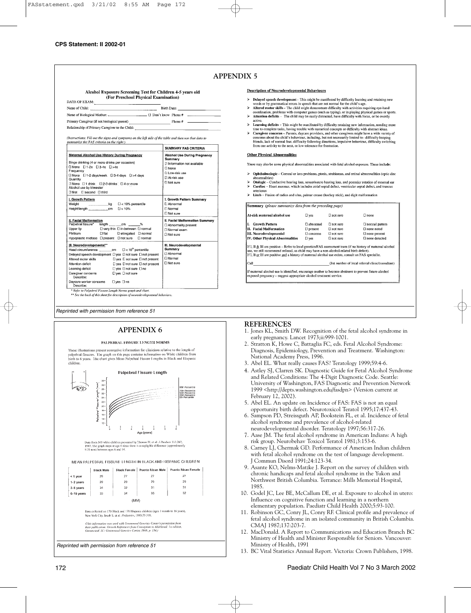Alcohol Exposure Screening Test for Children 4-5 years old (For Preschool Physical Examination)

| DATE OF EXAM:  |  |             |  |
|----------------|--|-------------|--|
| Name of Child: |  | Birth Date: |  |

| Name of Biological Mother:                      | ∟ □ Don't know Phone # |         |  |
|-------------------------------------------------|------------------------|---------|--|
| Primary Caregiver (if not biological parent)    |                        | Phone # |  |
| Relationship of Primary Caregiver to the Child: |                        |         |  |

(Instructions: Fill out the signs and symptoms on the left side of the table and then use that data to summarize the FAS criteria on the right.)

|                                                                                                                                                                                                                                                                                                                                                                                                                                                                                                    | SUMMARY FAS CRITERIA                                                                                                                                     |
|----------------------------------------------------------------------------------------------------------------------------------------------------------------------------------------------------------------------------------------------------------------------------------------------------------------------------------------------------------------------------------------------------------------------------------------------------------------------------------------------------|----------------------------------------------------------------------------------------------------------------------------------------------------------|
| Maternal Alcohol Use History During Pregnancy<br>Binge drinking (4 or more drinks per occasion)<br>□ None □ 1-2x □ 3-4x □ >4x<br>Frequency<br>□ None □ 1-2 days/week □ 3-4 days □ >4 days<br>Quantity<br>□ None □ 1 drink □ 2-3 drinks □ 4 or more<br>Alcohol use by trimester<br>□ first [I second □ third                                                                                                                                                                                        | <b>Alcohol Use During Pregnancy</b><br>Summarv<br>El Information not available<br><b>None</b><br>FIT ow-risk use<br>CI At-risk use<br><b>LI Not sure</b> |
| I. Growth Pattern<br>Weight<br>$\Box$ < 10% percentile<br>$-$ kg<br>Height/length compared to the<br>LI < 10%                                                                                                                                                                                                                                                                                                                                                                                      | I. Growth Pattern Summary<br>[ Abnormal<br><b>Normal</b><br>FI Not sure                                                                                  |
| II. Facial Malformation<br>Palpebral fissure*<br>length cm %<br>D very thin D in-between D normal<br>Upper lip<br>Philtrum<br>$\Box$ flat<br><b>Elelongated El normal</b><br>Hypoplastic midface D present D not sure<br>□ normal                                                                                                                                                                                                                                                                  | II. Facial Malformation Summary<br>Abnormality present<br>I Normal exam<br>□ Not sure                                                                    |
| III. Neurodevelopmental**<br>Head circumference cm $\Box$ < 10 <sup>th</sup> percentile<br>Delayed speech development D yes D not sure D not present<br>Altered motor skills<br>□ yes □ not sure □ not present<br>□ yes □ not sure □ not present<br>Attention deficit<br>□ yes □ not sure □ no<br>Learning deficit<br>$D$ yes $D$ not sure<br>Caregiver concerns<br>Describe:<br>Daycare worker concerns   D ves   D no<br>Describe:<br>* Refer to Palpebral Fissure Length Norms graph and chart. | III. Neurodevelopmental<br>Summary<br>Abnormal<br>□ Normal<br>□ Not sure                                                                                 |

*Reprinted with permission from reference 51*

# **APPENDIX 6**

#### PALPERRAL FISSURE LENGTH NORMS

These illustrations present normative information for clinicians relative to the length of The graph on this page contains information on White children palpebral fissures. birth to 6 years. The chart gives Mean Palpebral Fissure I engths in Black and Hispanic children



#### **Description of Neurodevelopmental Behaviours**

- Delayed speech development This might be manifested by difficulty learning and retaining new
- words or by grammatical errors in speech that are not normal for the child's age.<br>Altered motor skills The child might demonstrate difficulty with activities requiring eye-hand<br>cordination, problems with computer games (  $\mathbf{v}$
- active
- $\mathbf{z}$ Learning deficits - This might be manifested by difficulty retaining new information, ne ding more time to complete tasks, having trouble with numerical concepts or difficulty with abstract ideas.  $\mathbf{z}$
- Caregiver concerns -- Parents, daycare providers, and other caregivers might have a wide variety of concerns about the child 's behaviour, including, but not necessarily limited to-difficulty keeping friends, lack of norma from one activity to the next, or low tolerance for frustration.

#### **Other Physical Abnormalities**

There may also be some physical abnormalities associated with fetal alcohol exposure. These include:

- $\blacktriangleright$ Ophthalmologic - Corneal or lens problems, ptosis, strabismus, and retinal abnormalities (optic disc abnormalities)
- cononnames)<br>Otologic Conductive hearing loss, sensorineuro hearing loss, and posterior rotation of external ear<br>Cardiac Heart murmur, which includes atrial septal defect, ventricular septal defect, and truncus  $\mathbf{z}$ ś
- arteriosus  $\mathbf{v}$ Limb - Fusion of radius and ulna, palmar crease (hockey stick), and digit malformation

| At-risk maternal alcohol use                                                                                                                                                                      | $\square$ yes   | $\Box$ not sure | $\Box$ none                                       |
|---------------------------------------------------------------------------------------------------------------------------------------------------------------------------------------------------|-----------------|-----------------|---------------------------------------------------|
| <b>Growth Pattern</b>                                                                                                                                                                             | □ abnormal      | Fl not sure     | I normal pattern                                  |
| II. Facial Malformation                                                                                                                                                                           | $\Box$ present  | $\Box$ not sure | □ none noted                                      |
| III. Neurodevelopmental                                                                                                                                                                           | $\Box$ concerns | $\Box$ not sure | $\Box$ none present                               |
| IV. Other Physical Abnormalities                                                                                                                                                                  |                 |                 |                                                   |
| If I, II & III are positive – Refer to local genetics/FAS assessment team (if no history of maternal alcohol                                                                                      | [I ves          | $\Box$ not sure | □ none detected                                   |
| use, we still recommend referral, as child may have a non-alcohol-related birth defect).<br>If I, II or III are positive and a history of maternal alcohol use exists, consult an FAS specialist. |                 |                 |                                                   |
| iCall                                                                                                                                                                                             |                 |                 | (list number of local referral clinic/consultant) |

### **REFERENCES**

- 1. Jones KL, Smith DW. Recognition of the fetal alcohol syndrome in early pregnancy. Lancet 1973;ii:999-1001.
- 2. Stratton K, Howe C, Battaglia FC, eds. Fetal Alcohol Syndrome: Diagnosis, Epidemiology, Prevention and Treatment. Washington: National Academy Press, 1996.
- 3. Abel EL. What really causes FAS? Teratology 1999;59:4-6.
- 4. Astley SJ, Clarren SK. Diagnostic Guide for Fetal Alcohol Syndrome and Related Conditions: The 4-Digit Diagnostic Code. Seattle: University of Washington, FAS Diagnostic and Prevention Network 1999 <http://depts.washington.edu/fasdpn> (Version current at February 12, 2002).
- 5. Abel EL. An update on Incidence of FAS: FAS is not an equal opportunity birth defect. Neurotoxicol Teratol 1995;17:437-43.
- 6. Sampson PD, Streissguth AP, Bookstein FL, et al. Incidence of fetal alcohol syndrome and prevalence of alcohol-related neurodevelopmental disorder. Teratology 1997;56:317-26.
- 7. Aase JM. The fetal alcohol syndrome in American Indians: A high risk group. Neurobehav Toxicol Teratol 1981;3:153-6.
- 8. Carney LJ, Chermak GD. Performance of American Indian children with fetal alcohol syndrome on the test of language development. J Commun Disord 1991;24:123-34.
- 9. Asante KO, Nelms-Matzke J. Report on the survey of children with chronic handicaps and fetal alcohol syndrome in the Yukon and Northwest British Columbia. Terrance: Mills Memorial Hospital, 1985.
- 10. Godel JC, Lee BE, McCallum DE, et al. Exposure to alcohol in utero: Influence on cognitive function and learning in a northern elementary population. Paediatr Child Health 2000;5:93-100.
- 11. Robinson GC, Conry JL, Conry RF. Clinical profile and prevalence of fetal alcohol syndrome in an isolated community in British Columbia. CMAJ 1987;137:203-7.
- 12. MacDonald. A Report to Communications and Education Branch BC Ministry of Health and Minister Responsible for Seniors. Vancouver: Ministry of Health, 1991
- 13. BC Vital Statistics Annual Report. Victoria: Crown Publishers, 1998.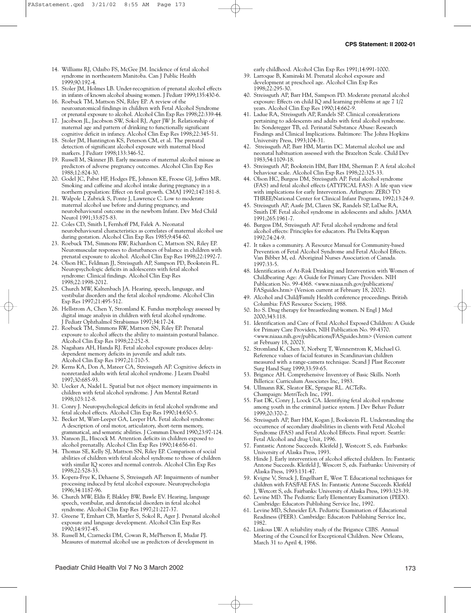- 14. Williams RJ, Odaibo FS, McGee JM. Incidence of fetal alcohol syndrome in northeastern Manitoba. Can J Public Health 1999;90:192-4.
- 15. Stoler JM, Holmes LB. Under-recognition of prenatal alcohol effects in infants of known alcohol abusing women. J Pediatr 1999;135:430-6.
- 16. Roebuck TM, Mattson SN, Riley EP. A review of the neuroanatomical findings in children with Fetal Alcohol Syndrome or prenatal exposure to alcohol. Alcohol Clin Exp Res 1998;22:339-44.
- 17. Jacobson JL, Jacobson SW, Sokol RJ, Ager JW Jr. Relationship of maternal age and pattern of drinking to functionally significant cognitive deficit in infancy. Alcohol Clin Exp Res 1998;22:345-51.
- 18. Stoler JM, Huntington KS, Peterson CM, et al. The prenatal detection of significant alcohol exposure with maternal blood markers. J Pediatr 1998;133:346-52.
- 19. Russell M, Skinner JB. Early measures of maternal alcohol misuse as predictors of adverse pregnancy outcomes. Alcohol Clin Exp Res 1988;12:824-30.
- 20. Godel JC, Pabst HF, Hodges PE, Johnson KE, Froese GJ, Joffres MR. Smoking and caffeine and alcohol intake during pregnancy in a northern population: Effect on fetal growth. CMAJ 1992;147:181-8.
- 21. Walpole I, Zubrick S, Ponte J, Lawrence C. Low to moderate maternal alcohol use before and during pregnancy, and neurobehavioural outcome in the newborn Infant. Dev Med Child Neurol 1991;33:875-83.
- 22. Coles CD, Smith I, Fernhoff PM, Falek A. Neonatal neurobehavioural characteristics as correlates of maternal alcohol use during gestation. Alcohol Clin Exp Res 1985;9:454-60.
- 23. Roebuck TM, Simmons RW, Richardson C, Mattson SN, Riley EP. Neuromuscular responses to disturbances of balance in children with prenatal exposure to alcohol. Alcohol Clin Exp Res 1998;22:1992-7.
- 24. Olson HC, Feldman JJ, Streissguth AP, Sampson PD, Bookstein FL. Neuropsychologic deficits in adolescents with fetal alcohol syndrome: Clinical findings. Alcohol Clin Exp Res 1998;22:1998-2012.
- 25. Church MW, Kaltenbach JA. Hearing, speech, language, and vestibular disorders and the fetal alcohol syndrome. Alcohol Clin Exp Res 1997;21:495-512.
- 26. Hellstrom A, Chen Y, Stromland K. Fundus morphology assessed by digital image analysis in children with fetal alcohol syndrome. J Pediatr Ophthalmol Strabismus 1997;34:17-24.
- 27. Roebuck TM, Simmons RW, Mattson SN, Riley EP. Prenatal exposure to alcohol affects the ability to maintain postural balance. Alcohol Clin Exp Res 1998;22:252-8.
- 28. Nagahara AH, Handa RJ. Fetal alcohol exposure produces delaydependent memory deficits in juvenile and adult rats. Alcohol Clin Exp Res 1997;21:710-5.
- 29. Kerns KA, Don A, Mateer CA, Streissguth AP. Cognitive defects in nonretarded adults with fetal alcohol syndrome. J Learn Disabil 1997;30:685-93.
- 30. Uecker A, Nadel L. Spatial but not object memory impairments in children with fetal alcohol syndrome. J Am Mental Retard 1998;103:12-8.
- 31. Conry J. Neuropsychological deficits in fetal alcohol syndrome and fetal alcohol effects. Alcohol Clin Exp Res 1990;14:650-5.
- 32. Becker M, Warr-Leeper GA, Leeper HA. Fetal alcohol syndrome: A description of oral motor, articulatory, short-term memory, grammatical, and semantic abilities. J Commun Disord 1990;23:97-124.
- 33. Nanson JL, Hiscock M. Attention deficits in children exposed to alcohol prenatally. Alcohol Clin Exp Res 1990;14:656-61.
- 34. Thomas SE, Kelly SJ, Mattson SN, Riley EP. Comparison of social abilities of children with fetal alcohol syndrome to those of children with similar IQ scores and normal controls. Alcohol Clin Exp Res 1998;22:528-33.
- 35. Kopera-Frye K, Dehaene S, Streissguth AP. Impairments of number processing induced by fetal alcohol exposure. Neuropsychologia 1996;34:1187-96.
- 36. Church MW, Eldis F, Blakley BW, Bawle EV. Hearing, language speech, vestibular, and dentofacial disorders in fetal alcohol syndrome. Alcohol Clin Exp Res 1997;21:227-37.
- 37. Greene T, Ernhart CB, Martler S, Sokol R, Ager J. Prenatal alcohol exposure and language development. Alcohol Clin Exp Res 1990;14:937-45.
- 38. Russell M, Czarnecki DM, Cowan R, MePherson E, Mudar PJ. Measures of maternal alcohol use as predictors of development in

early childhood. Alcohol Clin Exp Res 1991;14:991-1000.

- 39. Larroque B, Kaminski M. Prenatal alcohol exposure and development at preschool age. Alcohol Clin Exp Res 1998;22:295-30.
- 40. Streissguth AP, Barr HM, Sampson PD. Moderate prenatal alcohol exposure: Effects on child IQ and learning problems at age 7 1/2 years. Alcohol Clin Exp Res 1990;14:662-9.
- 41. Ladue RA, Streissguth AP, Randels SP. Clinical considerations pertaining to adolescents and adults with fetal alcohol syndrome. In: Sonderegger TB, ed. Perinatal Substance Abuse: Research Findings and Clinical Implications. Baltimore: The Johns Hopkins University Press, 1993;104-31.
- 42. Streissguth AP, Barr HM, Martin DC. Maternal alcohol use and neonatal habituation assessed with the Brazelton Scale. Child Dev 1983;54:1109-18.
- 43. Streissguth AP, Bookstein HM, Barr HM, Sherman P. A fetal alcohol behaviour scale. Alcohol Clin Exp Res 1998;22:325-33.
- 44. Olson HC, Burgess DM, Streissguth AP. Fetal alcohol syndrome (FAS) and fetal alcohol effects (ATYPICAL FAS): A life span view with implications for early Intervention. Arlington: ZERO TO THREE/National Center for Clinical Infant Programs, 1992;13:24-9.
- 45. Streissguth AP, Aasfe JM, Claren SK, Randels SP, LaDue RA, Smith DF. Fetal alcohol syndrome in adolescents and adults. JAMA 1991;265:1961-7.
- 46. Burgess DM, Streissguth AP. Fetal alcohol syndrome and fetal alcohol effects: Principles for educators. Phi Delta Kappan 1992;74:24-9.
- 47. It takes a community. A Resource Manual for Community-based Prevention of Fetal Alcohol Syndrome and Fetal Alcohol Effects. Van Bibber M, ed. Aboriginal Nurses Association of Canada. 1997:33-5.
- 48. Identification of At-Risk Drinking and Intervention with Women of Childbearing Age: A Guide for Primary Care Providers. NIH Publication No. 99-4368. <www.niaaa.nih.gov/publications/ FASguides.htm> (Version current at February 18, 2002).
- 49. Alcohol and Child/Family Health conference proceedings. British Columbia: FAS Resource Society, 1988.
- 50. Ito S. Drug therapy for breastfeeding women. N Engl J Med 2000;343:118.
- 51. Identification and Care of Fetal Alcohol Exposed Children: A Guide for Primary Care Providers, NIH Publication No. 99-4370. <www.niaaa.nih.gov/publications/FASguides.htm> (Version current at February 18, 2002).
- 52. Stromland K, Chen Y, Norberg T, Wennerstrom K, Michael G. Reference values of facial features in Scandinavian children measured with a range-camera technique. Scand J Plast Reconstr Surg Hand Surg 1999;33:59-65.
- 53. Brigance AH. Comprehensive Inventory of Basic Skills. North Billerica: Curriculum Associates Inc, 1983.
- 54. Ullmann RK, Sleator EK, Sprague RL. ACTeRs. Champaign: MetriTech Inc, 1991.
- 55. Fast DK, Conry J, Loock CA. Identifying fetal alcohol syndrome among youth in the criminal justice system. J Dev Behav Pediatr 1999;20:370-2.
- 56. Streissguth AP, Barr HM, Kogan J, Bookstein FL. Understanding the occurrence of secondary disabilities in clients with Fetal Alcohol Syndrome (FAS) and Fetal Alcohol Effects. Final report. Seattle: Fetal Alcohol and drug Unit, 1996.
- 57. Fantastic Antone Succeeds. Kleifeld J, Westcott S, eds. Fairbanks: University of Alaska Press, 1993.
- 58. Hinde J. Early intervention of alcohol affected children. In: Fantastic Antone Succeeds. Kleifeld J, Wescott S, eds. Fairbanks: University of Alaska Press, 1993:131-47.
- 59. Kvigne V, Struck J, Engelhart E, West T. Educational techniques for children with FAS/FAE FAS. In: Fantastic Antone Succeeds. Kleifeld J, Wetcott S, eds. Fairbanks: University of Alaska Press, 1993:323-39.
- 60. Levine MD. The Pediatric Early Elementary Examination (PEEX). Cambridge: Educators Publishing Service Inc, 1992.
- 61. Levine MD, Schneider EA. Pediatric Examination of Educational Readiness (PEER). Cambridge: Educators Publishing Service Inc, 1982.
- 62. Linkous LW. A reliability study of the Brigance CIBS. Annual Meeting of the Council for Exceptional Children. New Orleans, March 31 to April 4, 1986.